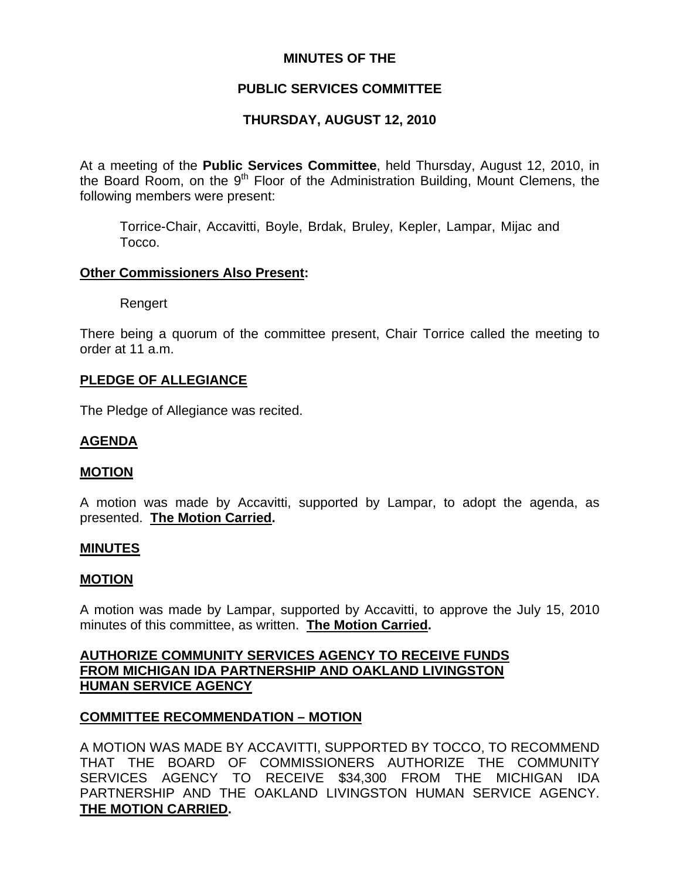## **MINUTES OF THE**

## **PUBLIC SERVICES COMMITTEE**

# **THURSDAY, AUGUST 12, 2010**

At a meeting of the **Public Services Committee**, held Thursday, August 12, 2010, in the Board Room, on the  $9<sup>th</sup>$  Floor of the Administration Building, Mount Clemens, the following members were present:

Torrice-Chair, Accavitti, Boyle, Brdak, Bruley, Kepler, Lampar, Mijac and Tocco.

#### **Other Commissioners Also Present:**

Rengert

There being a quorum of the committee present, Chair Torrice called the meeting to order at 11 a.m.

#### **PLEDGE OF ALLEGIANCE**

The Pledge of Allegiance was recited.

### **AGENDA**

### **MOTION**

A motion was made by Accavitti, supported by Lampar, to adopt the agenda, as presented. **The Motion Carried.** 

#### **MINUTES**

### **MOTION**

A motion was made by Lampar, supported by Accavitti, to approve the July 15, 2010 minutes of this committee, as written. **The Motion Carried.** 

## **AUTHORIZE COMMUNITY SERVICES AGENCY TO RECEIVE FUNDS FROM MICHIGAN IDA PARTNERSHIP AND OAKLAND LIVINGSTON HUMAN SERVICE AGENCY**

### **COMMITTEE RECOMMENDATION – MOTION**

A MOTION WAS MADE BY ACCAVITTI, SUPPORTED BY TOCCO, TO RECOMMEND THAT THE BOARD OF COMMISSIONERS AUTHORIZE THE COMMUNITY SERVICES AGENCY TO RECEIVE \$34,300 FROM THE MICHIGAN IDA PARTNERSHIP AND THE OAKLAND LIVINGSTON HUMAN SERVICE AGENCY. **THE MOTION CARRIED.**